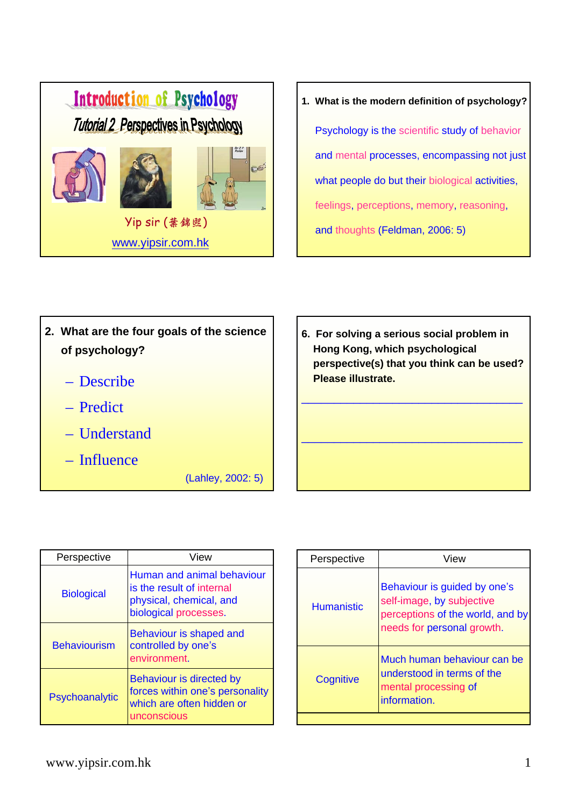

**1. What is the modern definition of psychology?** Psychology is the scientific study of behavior and mental processes, encompassing not just what people do but their biological activities, feelings, perceptions, memory, reasoning, and thoughts (Feldman, 2006: 5)

- **2. What are the four goals of the science of psychology?**
	- Describe
	- Predict
	- Understand
	- Influence

(Lahley, 2002: 5)

**6. For solving a serious social problem in Hong Kong, which psychological perspective(s) that you think can be used? Please illustrate.** \_\_\_\_\_\_\_\_\_\_\_\_\_\_\_\_\_\_\_\_\_\_\_\_\_\_\_\_\_\_\_\_\_\_

 $\_$  , and the set of the set of the set of the set of the set of the set of the set of the set of the set of the set of the set of the set of the set of the set of the set of the set of the set of the set of the set of th

| Perspective         | View                                                                                                        |
|---------------------|-------------------------------------------------------------------------------------------------------------|
| <b>Biological</b>   | Human and animal behaviour<br>is the result of internal<br>physical, chemical, and<br>biological processes. |
| <b>Behaviourism</b> | Behaviour is shaped and<br>controlled by one's<br>environment.                                              |
| Psychoanalytic      | Behaviour is directed by<br>forces within one's personality<br>which are often hidden or<br>unconscious     |

| Perspective       | View                                                                                                                        |
|-------------------|-----------------------------------------------------------------------------------------------------------------------------|
| <b>Humanistic</b> | Behaviour is guided by one's<br>self-image, by subjective<br>perceptions of the world, and by<br>needs for personal growth. |
| Cognitive         | Much human behaviour can be<br>understood in terms of the<br>mental processing of<br>information.                           |
|                   |                                                                                                                             |